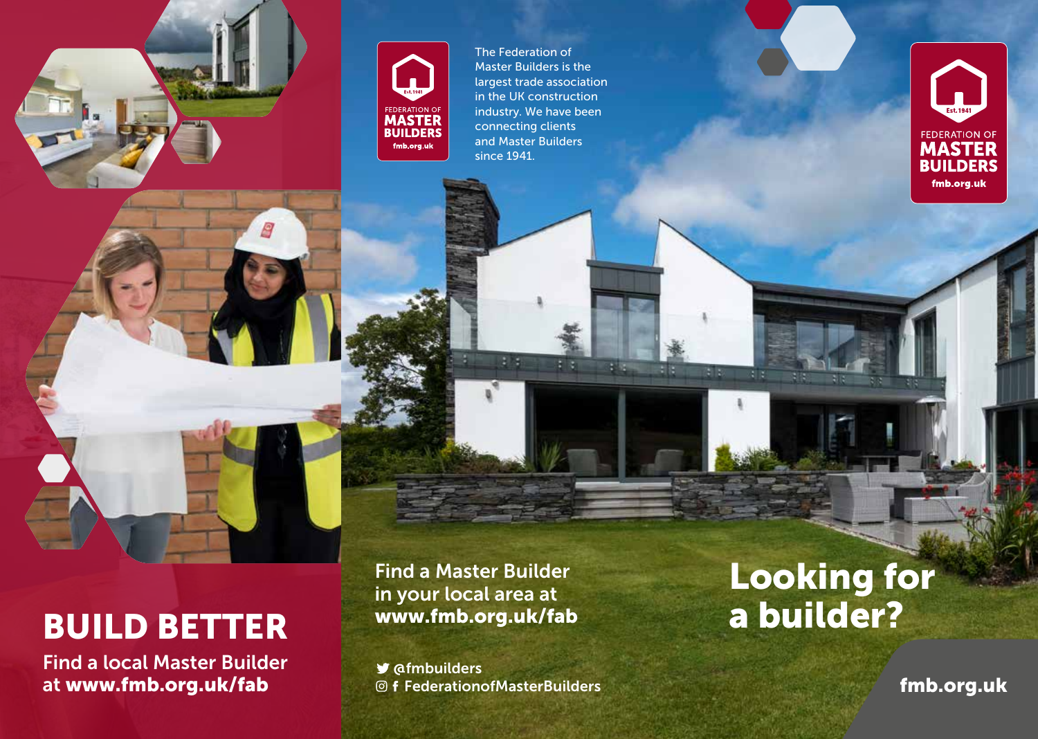

Q



The Federation of Master Builders is the largest trade association in the UK construction industry. We have been connecting clients and Master Builders since 1941.



# BUILD BETTER

Find a local Master Builder at www.fmb.org.uk/fab

Find a Master Builder in your local area at www.fmb.org.uk/fab

 $21.91$ 

天気

日間

F R

 $\blacktriangleright$  @fmbuilders FederationofMasterBuilders

## Looking for a builder?

fmb.org.uk